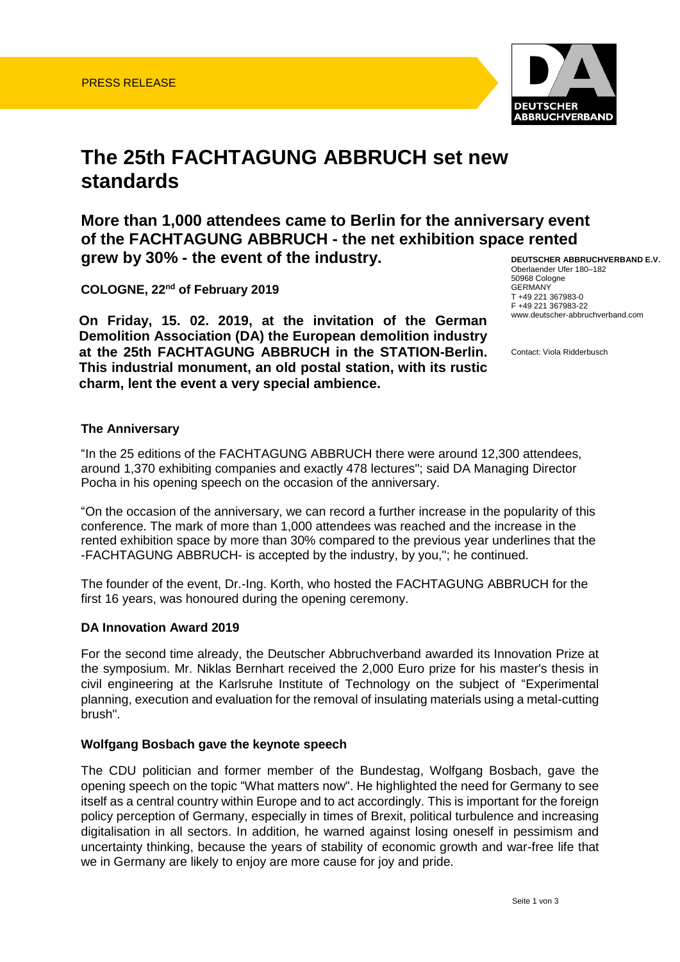

# **The 25th FACHTAGUNG ABBRUCH set new standards**

**More than 1,000 attendees came to Berlin for the anniversary event of the FACHTAGUNG ABBRUCH - the net exhibition space rented grew by 30% - the event of the industry.**

**COLOGNE, 22nd of February 2019**

**On Friday, 15. 02. 2019, at the invitation of the German Demolition Association (DA) the European demolition industry at the 25th FACHTAGUNG ABBRUCH in the STATION-Berlin. This industrial monument, an old postal station, with its rustic charm, lent the event a very special ambience.**

**DEUTSCHER ABBRUCHVERBAND E.V.**  Oberlaender Ufer 180–182 50968 Cologne GERMANY T +49 221 367983-0 F +49 221 367983-22 www.deutscher-abbruchverband.com

Contact: Viola Ridderbusch

## **The Anniversary**

"In the 25 editions of the FACHTAGUNG ABBRUCH there were around 12,300 attendees, around 1,370 exhibiting companies and exactly 478 lectures"; said DA Managing Director Pocha in his opening speech on the occasion of the anniversary.

"On the occasion of the anniversary, we can record a further increase in the popularity of this conference. The mark of more than 1,000 attendees was reached and the increase in the rented exhibition space by more than 30% compared to the previous year underlines that the -FACHTAGUNG ABBRUCH- is accepted by the industry, by you,"; he continued.

The founder of the event, Dr.-Ing. Korth, who hosted the FACHTAGUNG ABBRUCH for the first 16 years, was honoured during the opening ceremony.

#### **DA Innovation Award 2019**

For the second time already, the Deutscher Abbruchverband awarded its Innovation Prize at the symposium. Mr. Niklas Bernhart received the 2,000 Euro prize for his master's thesis in civil engineering at the Karlsruhe Institute of Technology on the subject of "Experimental planning, execution and evaluation for the removal of insulating materials using a metal-cutting brush".

#### **Wolfgang Bosbach gave the keynote speech**

The CDU politician and former member of the Bundestag, Wolfgang Bosbach, gave the opening speech on the topic "What matters now". He highlighted the need for Germany to see itself as a central country within Europe and to act accordingly. This is important for the foreign policy perception of Germany, especially in times of Brexit, political turbulence and increasing digitalisation in all sectors. In addition, he warned against losing oneself in pessimism and uncertainty thinking, because the years of stability of economic growth and war-free life that we in Germany are likely to enjoy are more cause for joy and pride.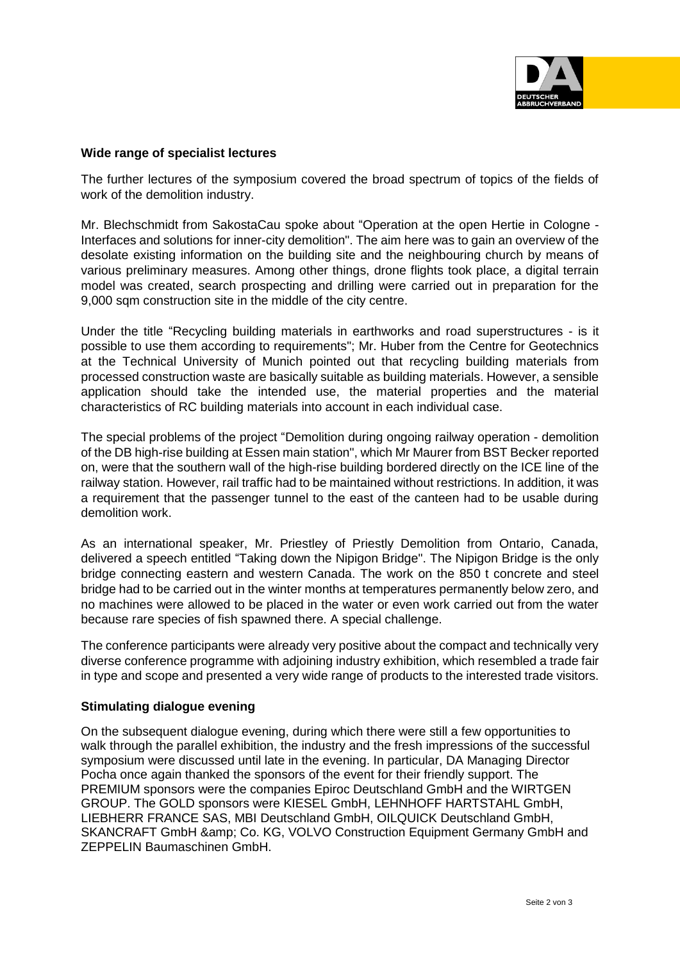

# **Wide range of specialist lectures**

The further lectures of the symposium covered the broad spectrum of topics of the fields of work of the demolition industry.

Mr. Blechschmidt from SakostaCau spoke about "Operation at the open Hertie in Cologne - Interfaces and solutions for inner-city demolition". The aim here was to gain an overview of the desolate existing information on the building site and the neighbouring church by means of various preliminary measures. Among other things, drone flights took place, a digital terrain model was created, search prospecting and drilling were carried out in preparation for the 9,000 sqm construction site in the middle of the city centre.

Under the title "Recycling building materials in earthworks and road superstructures - is it possible to use them according to requirements"; Mr. Huber from the Centre for Geotechnics at the Technical University of Munich pointed out that recycling building materials from processed construction waste are basically suitable as building materials. However, a sensible application should take the intended use, the material properties and the material characteristics of RC building materials into account in each individual case.

The special problems of the project "Demolition during ongoing railway operation - demolition of the DB high-rise building at Essen main station", which Mr Maurer from BST Becker reported on, were that the southern wall of the high-rise building bordered directly on the ICE line of the railway station. However, rail traffic had to be maintained without restrictions. In addition, it was a requirement that the passenger tunnel to the east of the canteen had to be usable during demolition work.

As an international speaker, Mr. Priestley of Priestly Demolition from Ontario, Canada, delivered a speech entitled "Taking down the Nipigon Bridge". The Nipigon Bridge is the only bridge connecting eastern and western Canada. The work on the 850 t concrete and steel bridge had to be carried out in the winter months at temperatures permanently below zero, and no machines were allowed to be placed in the water or even work carried out from the water because rare species of fish spawned there. A special challenge.

The conference participants were already very positive about the compact and technically very diverse conference programme with adjoining industry exhibition, which resembled a trade fair in type and scope and presented a very wide range of products to the interested trade visitors.

## **Stimulating dialogue evening**

On the subsequent dialogue evening, during which there were still a few opportunities to walk through the parallel exhibition, the industry and the fresh impressions of the successful symposium were discussed until late in the evening. In particular, DA Managing Director Pocha once again thanked the sponsors of the event for their friendly support. The PREMIUM sponsors were the companies Epiroc Deutschland GmbH and the WIRTGEN GROUP. The GOLD sponsors were KIESEL GmbH, LEHNHOFF HARTSTAHL GmbH, LIEBHERR FRANCE SAS, MBI Deutschland GmbH, OILQUICK Deutschland GmbH, SKANCRAFT GmbH & amp; Co. KG, VOLVO Construction Equipment Germany GmbH and ZEPPELIN Baumaschinen GmbH.